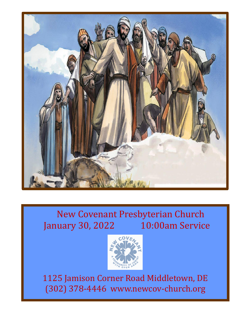

## New Covenant Presbyterian Church January 30, 2022 10:00am Service



1125 Jamison Corner Road Middletown, DE (302) 378-4446 www.newcov-church.org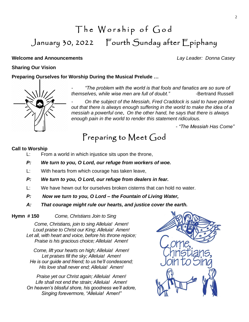# The Worship of God January 30, 2022 Fourth Sunday after Epiphany

## **Welcome and Announcements** *Lay Leader: Donna Casey*

**Sharing Our Vision**

**Preparing Ourselves for Worship During the Musical Prelude …** 



*- "The problem with the world is that fools and fanatics are so sure of themselves, while wise men are full of doubt."* Pertrand Russell

*- On the subject of the Messiah, Fred Craddock is said to have pointed out that there is always enough suffering in the world to make the idea of a messiah a powerful one***.** *On the other hand, he says that there is always enough pain in the world to render this statement ridiculous.*

 *- "The Messiah Has Come"*

## Preparing to Meet God

## **Call to Worship**

L: From a world in which injustice sits upon the throne,

## *P: We turn to you, O Lord, our refuge from workers of woe.*

- L: With hearts from which courage has taken leave,
- *P: We turn to you, O Lord, our refuge from dealers in fear.*
- L: We have hewn out for ourselves broken cisterns that can hold no water.
- *P: Now we turn to you, O Lord – the Fountain of Living Water,*
- *A: That courage might rule our hearts, and justice cover the earth.*

## **Hymn # 150** *Come, Christians Join to Sing*

*Come, Christians, join to sing Alleluia! Amen! Loud praise to Christ our King; Alleluia! Amen! Let all, with heart and voice, before his throne rejoice; Praise is his gracious choice; Alleluia! Amen!*

*Come, lift your hearts on high; Alleluia! Amen! Let praises fill the sky; Alleluia! Amen! He is our guide and friend; to us he'll condescend; His love shall never end; Alleluia! Amen!*

*Praise yet our Christ again; Alleluia! Amen! Life shall not end the strain; Alleluia! Amen! On heaven's blissful shore, his goodness we'll adore, Singing forevermore, "Alleluia! Amen!"*

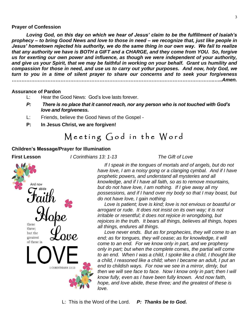### **Prayer of Confession**

*Loving God, on this day on which we hear of Jesus' claim to be the fulfillment of Isaiah's prophecy – to bring Good News and love to those in need – we recognize that, just like people in Jesus' hometown rejected his authority, we do the same thing in our own way. We fail to realize that any authority we have is BOTH a GIFT and a CHARGE, and they come from YOU. So, forgive us for exerting our own power and influence, as though we were independent of your authority, and give us your Spirit, that we may be faithful in working on your behalf. Grant us humility and compassion for those in need, and use us to carry out yo9ur purposes. And now, holy God, we turn to you in a time of silent prayer to share our concerns and to seek your forgiveness ……………………………………………………………………………………………………………..…..Amen.* 

#### **Assurance of Pardon**

- L: Hear the Good News: God's love lasts forever.
- *P: There is no place that it cannot reach, nor any person who is not touched with God's love and forgiveness.*
- L: Friends, believe the Good News of the Gospel -
- **P: In Jesus Christ, we are forgiven!**

## $M$  e eting God in the Word

#### **Children's Message/Prayer for Illumination**

**First Lesson** *I Corinthians 13: 1-13 The Gift of Love* 



 *If I speak in the tongues of mortals and of angels, but do not have love, I am a noisy gong or a clanging cymbal. And if I have prophetic powers, and understand all mysteries and all knowledge, and if I have all faith, so as to remove mountains, but do not have love, I am nothing. If I give away all my possessions, and if I hand over my body so that I may boast, but do not have love, I gain nothing.*

 *Love is patient; love is kind; love is not envious or boastful or arrogant or rude. It does not insist on its own way; it is not irritable or resentful; it does not rejoice in wrongdoing, but rejoices in the truth. It bears all things, believes all things, hopes all things, endures all things.*

 *Love never ends. But as for prophecies, they will come to an*  end; as for tongues, they will cease; as for knowledge, it will *come to an end. For we know only in part, and we prophesy only in part; but when the complete comes, the partial will come to an end. When I was a child, I spoke like a child, I thought like a child, I reasoned like a child; when I became an adult, I put an end to childish ways. For now we see in a mirror, dimly, but then we will see face to face. Now I know only in part; then I will know fully, even as I have been fully known. And now faith, hope, and love abide, these three; and the greatest of these is love.*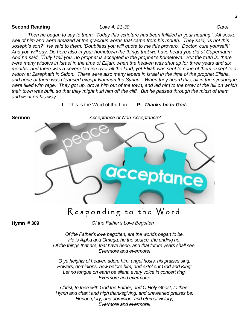#### **Second Reading** *Luke 4: 21-30 Carol*

*Then he began to say to them, 'Today this scripture has been fulfilled in your hearing.' All spoke well of him and were amazed at the gracious words that came from his mouth. They said, 'Is not this Joseph's son?' He said to them, 'Doubtless you will quote to me this proverb, "Doctor, cure yourself!" And you will say, Do here also in your hometown the things that we have heard you did at Capernaum. And he said, 'Truly I tell you, no prophet is accepted in the prophet's hometown. But the truth is, there were many widows in Israel in the time of Elijah, when the heaven was shut up for three years and six months, and there was a severe famine over all the land; yet Elijah was sent to none of them except to a widow at Zarephath in Sidon. There were also many lepers in Israel in the time of the prophet Elisha, and none of them was cleansed except Naaman the Syrian.' When they heard this, all in the synagogue were filled with rage. They got up, drove him out of the town, and led him to the brow of the hill on which their town was built, so that they might hurl him off the cliff. But he passed through the midst of them and went on his way.*

L: This is the Word of the Lord. *P: Thanks be to God.*



## Responding to the Word

**Hymn # 309** *Of the Father's Love Begotten*

*Of the Father's love begotten, ere the worlds began to be, He is Alpha and Omega, he the source, the ending he, Of the things that are, that have been, and that future years shall see, Evermore and evermore!*

*O ye heights of heaven adore him; angel hosts, his praises sing; Powers, dominions, bow before him, and extol our God and King; Let no tongue on earth be silent, every voice in concert ring, Evermore and evermore!*

*Christ, to thee with God the Father, and O Holy Ghost, to thee, Hymn and chant and high thanksgiving, and unwearied praises be; Honor, glory, and dominion, and eternal victory, Evermore and evermore!*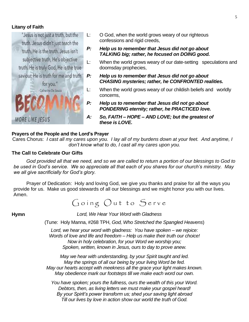## **Litany of Faith**

"Jesus is not just a truth, but the truth. Jesus didn't just teach the truth, He is the truth. Jesus isn't subjective truth, He's objective truth. He is truly God, He is the true saviour. He is truth for me and truth for you."

Catherine De Souza



- *P: Help us to remember that Jesus did not go about TALKING big; rather, he focused on DOING good.*
- L: When the world grows weary of our date-setting speculations and doomsday prophecies,
- *P: Help us to remember that Jesus did not go about CHASING mysteries; rather, he CONFRONTED realities.*
- L: When the world grows weary of our childish beliefs and worldly concerns,
- *P: Help us to remember that Jesus did not go about PONDERING eternity; rather, he PRACTICED love.*
- *A: So, FAITH – HOPE – AND LOVE; but the greatest of these is LOVE.*

## **Prayers of the People and the Lord's Prayer**

Cares Chorus: *I cast all my cares upon you. I lay all of my burdens down at your feet. And anytime, I don't know what to do, I cast all my cares upon you.*

## **The Call to Celebrate Our Gifts**

**MORE LIKE JESUS** 

*God provided all that we need, and so we are called to return a portion of our blessings to God to be used in God's service. We so appreciate all that each of you shares for our church's ministry. May we all give sacrificially for God's glory.*

Prayer of Dedication: Holy and loving God, we give you thanks and praise for all the ways you provide for us. Make us good stewards of all our blessings and we might honor you with our lives. Amen.

Going Out to Serve

**Hymn** *Lord, We Hear Your Word with Gladness*

(Tune: Holy Manna, #268 TPH, *God, Who Stretched the Spangled Heavens*)

*Lord, we hear your word with gladness: You have spoken – we rejoice: Words of love and life and freedom – Help us make their truth our choice! Now in holy celebration, for your Word we worship you; Spoken, written, known in Jesus, ours to day to prove anew.*

*May we hear with understanding, by your Spirit taught and led. May the springs of all our being by your living Word be fed. May our hearts accept with meekness all the grace your light makes known. May obedience mark our footsteps till we make each word our own.*

*You have spoken; yours the fullness, ours the wealth of this your Word. Debtors, then, as living letters we must make your gospel heard! By your Spirit's power transform us; shed your saving light abroad Till our lives by love in action show our world the truth of God.*